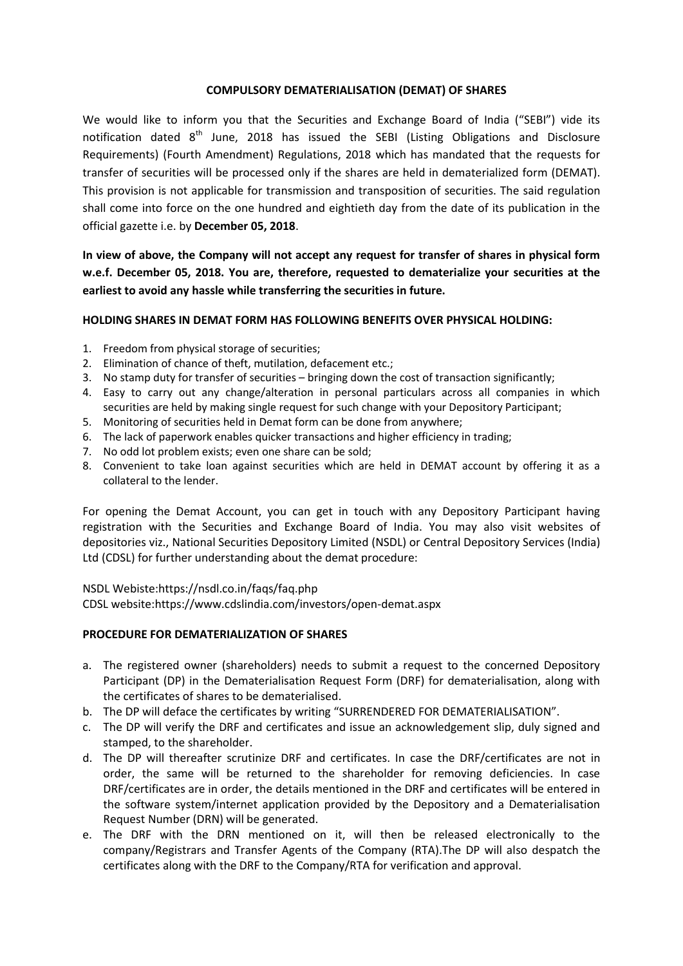#### **COMPULSORY DEMATERIALISATION (DEMAT) OF SHARES**

We would like to inform you that the Securities and Exchange Board of India ("SEBI") vide its notification dated  $8<sup>th</sup>$  June, 2018 has issued the SEBI (Listing Obligations and Disclosure Requirements) (Fourth Amendment) Regulations, 2018 which has mandated that the requests for transfer of securities will be processed only if the shares are held in dematerialized form (DEMAT). This provision is not applicable for transmission and transposition of securities. The said regulation shall come into force on the one hundred and eightieth day from the date of its publication in the official gazette i.e. by **December 05, 2018**.

**In view of above, the Company will not accept any request for transfer of shares in physical form w.e.f. December 05, 2018. You are, therefore, requested to dematerialize your securities at the earliest to avoid any hassle while transferring the securities in future.**

## **HOLDING SHARES IN DEMAT FORM HAS FOLLOWING BENEFITS OVER PHYSICAL HOLDING:**

- 1. Freedom from physical storage of securities;
- 2. Elimination of chance of theft, mutilation, defacement etc.;
- 3. No stamp duty for transfer of securities bringing down the cost of transaction significantly;
- 4. Easy to carry out any change/alteration in personal particulars across all companies in which securities are held by making single request for such change with your Depository Participant;
- 5. Monitoring of securities held in Demat form can be done from anywhere;
- 6. The lack of paperwork enables quicker transactions and higher efficiency in trading;
- 7. No odd lot problem exists; even one share can be sold;
- 8. Convenient to take loan against securities which are held in DEMAT account by offering it as a collateral to the lender.

For opening the Demat Account, you can get in touch with any Depository Participant having registration with the Securities and Exchange Board of India. You may also visit websites of depositories viz., National Securities Depository Limited (NSDL) or Central Depository Services (India) Ltd (CDSL) for further understanding about the demat procedure:

NSDL Webiste:https://nsdl.co.in/faqs/faq.php

CDSL website:https://www.cdslindia.com/investors/open-demat.aspx

## **PROCEDURE FOR DEMATERIALIZATION OF SHARES**

- a. The registered owner (shareholders) needs to submit a request to the concerned Depository Participant (DP) in the Dematerialisation Request Form (DRF) for dematerialisation, along with the certificates of shares to be dematerialised.
- b. The DP will deface the certificates by writing "SURRENDERED FOR DEMATERIALISATION".
- c. The DP will verify the DRF and certificates and issue an acknowledgement slip, duly signed and stamped, to the shareholder.
- d. The DP will thereafter scrutinize DRF and certificates. In case the DRF/certificates are not in order, the same will be returned to the shareholder for removing deficiencies. In case DRF/certificates are in order, the details mentioned in the DRF and certificates will be entered in the software system/internet application provided by the Depository and a Dematerialisation Request Number (DRN) will be generated.
- e. The DRF with the DRN mentioned on it, will then be released electronically to the company/Registrars and Transfer Agents of the Company (RTA).The DP will also despatch the certificates along with the DRF to the Company/RTA for verification and approval.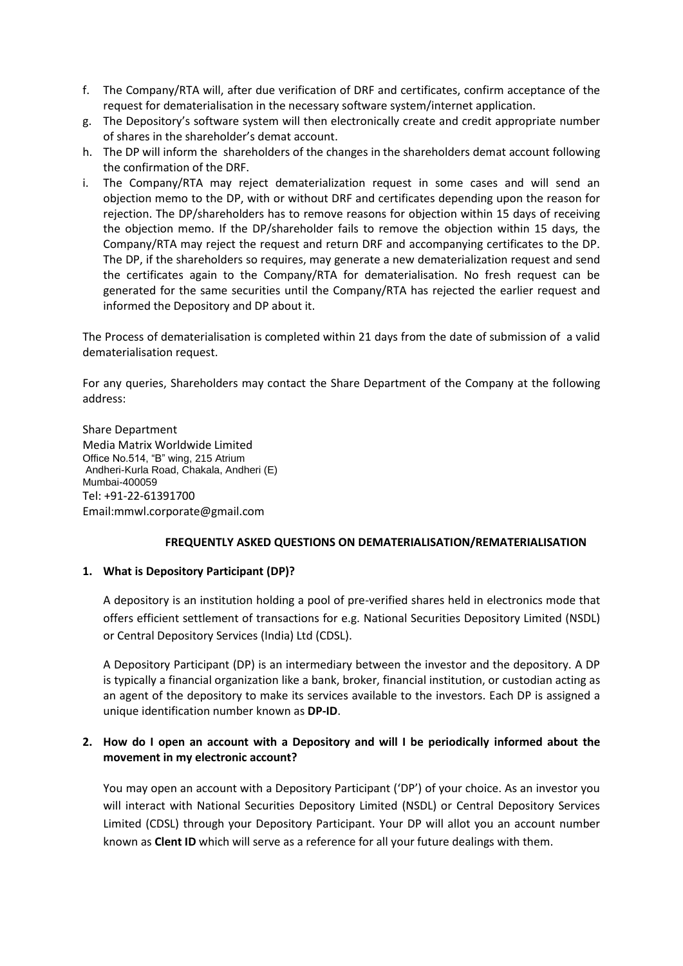- f. The Company/RTA will, after due verification of DRF and certificates, confirm acceptance of the request for dematerialisation in the necessary software system/internet application.
- g. The Depository's software system will then electronically create and credit appropriate number of shares in the shareholder's demat account.
- h. The DP will inform the shareholders of the changes in the shareholders demat account following the confirmation of the DRF.
- i. The Company/RTA may reject dematerialization request in some cases and will send an objection memo to the DP, with or without DRF and certificates depending upon the reason for rejection. The DP/shareholders has to remove reasons for objection within 15 days of receiving the objection memo. If the DP/shareholder fails to remove the objection within 15 days, the Company/RTA may reject the request and return DRF and accompanying certificates to the DP. The DP, if the shareholders so requires, may generate a new dematerialization request and send the certificates again to the Company/RTA for dematerialisation. No fresh request can be generated for the same securities until the Company/RTA has rejected the earlier request and informed the Depository and DP about it.

The Process of dematerialisation is completed within 21 days from the date of submission of a valid dematerialisation request.

For any queries, Shareholders may contact the Share Department of the Company at the following address:

Share Department Media Matrix Worldwide Limited Office No.514, "B" wing, 215 Atrium Andheri-Kurla Road, Chakala, Andheri (E) Mumbai-400059 Tel: +91-22-61391700 Email:mmwl.corporate@gmail.com

#### **FREQUENTLY ASKED QUESTIONS ON DEMATERIALISATION/REMATERIALISATION**

#### **1. What is Depository Participant (DP)?**

A depository is an institution holding a pool of pre-verified shares held in electronics mode that offers efficient settlement of transactions for e.g. National Securities Depository Limited (NSDL) or Central Depository Services (India) Ltd (CDSL).

A Depository Participant (DP) is an intermediary between the investor and the depository. A DP is typically a financial organization like a bank, broker, financial institution, or custodian acting as an agent of the depository to make its services available to the investors. Each DP is assigned a unique identification number known as **DP-ID**.

## **2. How do I open an account with a Depository and will I be periodically informed about the movement in my electronic account?**

You may open an account with a Depository Participant ('DP') of your choice. As an investor you will interact with National Securities Depository Limited (NSDL) or Central Depository Services Limited (CDSL) through your Depository Participant. Your DP will allot you an account number known as **Clent ID** which will serve as a reference for all your future dealings with them.